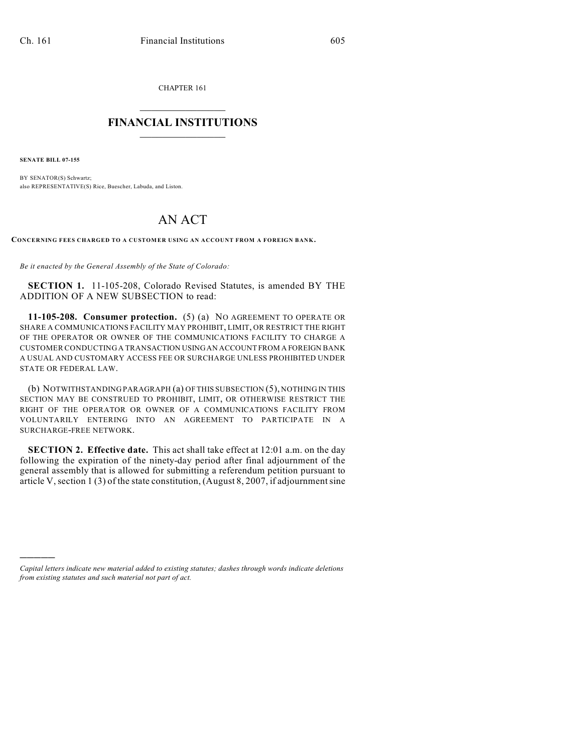CHAPTER 161

## $\mathcal{L}_\text{max}$  . The set of the set of the set of the set of the set of the set of the set of the set of the set of the set of the set of the set of the set of the set of the set of the set of the set of the set of the set **FINANCIAL INSTITUTIONS**  $\frac{1}{2}$  ,  $\frac{1}{2}$  ,  $\frac{1}{2}$  ,  $\frac{1}{2}$  ,  $\frac{1}{2}$  ,  $\frac{1}{2}$  ,  $\frac{1}{2}$

**SENATE BILL 07-155**

)))))

BY SENATOR(S) Schwartz; also REPRESENTATIVE(S) Rice, Buescher, Labuda, and Liston.

## AN ACT

**CONCERNING FEES CHARGED TO A CUSTOMER USING AN ACCOUNT FROM A FOREIGN BANK.**

*Be it enacted by the General Assembly of the State of Colorado:*

**SECTION 1.** 11-105-208, Colorado Revised Statutes, is amended BY THE ADDITION OF A NEW SUBSECTION to read:

**11-105-208. Consumer protection.** (5) (a) NO AGREEMENT TO OPERATE OR SHARE A COMMUNICATIONS FACILITY MAY PROHIBIT, LIMIT, OR RESTRICT THE RIGHT OF THE OPERATOR OR OWNER OF THE COMMUNICATIONS FACILITY TO CHARGE A CUSTOMER CONDUCTING A TRANSACTION USING AN ACCOUNT FROM A FOREIGN BANK A USUAL AND CUSTOMARY ACCESS FEE OR SURCHARGE UNLESS PROHIBITED UNDER STATE OR FEDERAL LAW.

(b) NOTWITHSTANDING PARAGRAPH (a) OF THIS SUBSECTION (5), NOTHING IN THIS SECTION MAY BE CONSTRUED TO PROHIBIT, LIMIT, OR OTHERWISE RESTRICT THE RIGHT OF THE OPERATOR OR OWNER OF A COMMUNICATIONS FACILITY FROM VOLUNTARILY ENTERING INTO AN AGREEMENT TO PARTICIPATE IN A SURCHARGE-FREE NETWORK.

**SECTION 2. Effective date.** This act shall take effect at 12:01 a.m. on the day following the expiration of the ninety-day period after final adjournment of the general assembly that is allowed for submitting a referendum petition pursuant to article V, section 1 (3) of the state constitution, (August 8, 2007, if adjournment sine

*Capital letters indicate new material added to existing statutes; dashes through words indicate deletions from existing statutes and such material not part of act.*